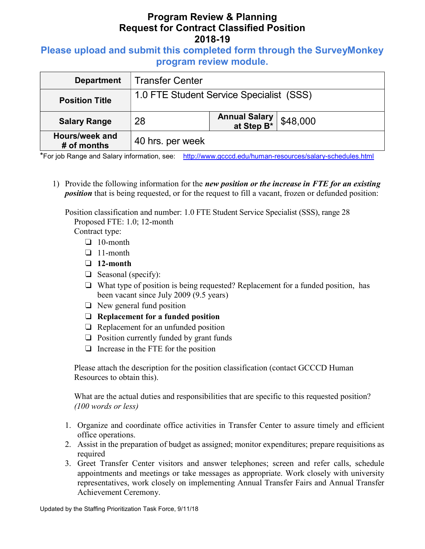### Please upload and submit this completed form through the SurveyMonkey program review module.

| <b>Department</b>             | <b>Transfer Center</b>                   |                             |          |  |
|-------------------------------|------------------------------------------|-----------------------------|----------|--|
| <b>Position Title</b>         | 1.0 FTE Student Service Specialist (SSS) |                             |          |  |
| <b>Salary Range</b>           | 28                                       | Annual Salary<br>at Step B* | \$48,000 |  |
| Hours/week and<br># of months | 40 hrs. per week                         |                             |          |  |

\*For job Range and Salary information, see: http://www.gcccd.edu/human-resources/salary-schedules.html

1) Provide the following information for the new position or the increase in FTE for an existing position that is being requested, or for the request to fill a vacant, frozen or defunded position:

Position classification and number: 1.0 FTE Student Service Specialist (SSS), range 28 Proposed FTE: 1.0; 12-month

Contract type:

- ❏ 10-month
- ❏ 11-month
- ❏ 12-month
- ❏ Seasonal (specify):
- ❏ What type of position is being requested? Replacement for a funded position, has been vacant since July 2009 (9.5 years)
- ❏ New general fund position
- ❏ Replacement for a funded position
- ❏ Replacement for an unfunded position
- ❏ Position currently funded by grant funds
- ❏ Increase in the FTE for the position

Please attach the description for the position classification (contact GCCCD Human Resources to obtain this).

What are the actual duties and responsibilities that are specific to this requested position? (100 words or less)

- 1. Organize and coordinate office activities in Transfer Center to assure timely and efficient office operations.
- 2. Assist in the preparation of budget as assigned; monitor expenditures; prepare requisitions as required
- 3. Greet Transfer Center visitors and answer telephones; screen and refer calls, schedule appointments and meetings or take messages as appropriate. Work closely with university representatives, work closely on implementing Annual Transfer Fairs and Annual Transfer Achievement Ceremony.

Updated by the Staffing Prioritization Task Force, 9/11/18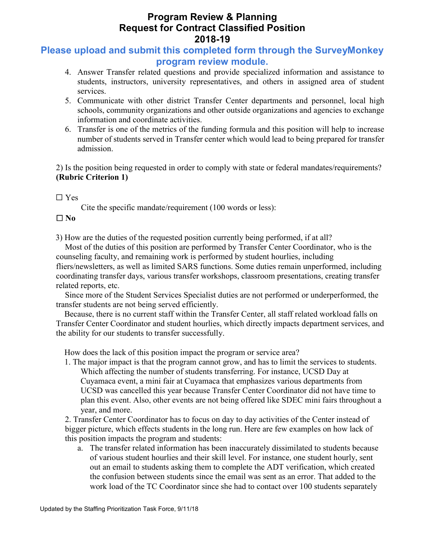# Please upload and submit this completed form through the SurveyMonkey program review module.

- 4. Answer Transfer related questions and provide specialized information and assistance to students, instructors, university representatives, and others in assigned area of student services.
- 5. Communicate with other district Transfer Center departments and personnel, local high schools, community organizations and other outside organizations and agencies to exchange information and coordinate activities.
- 6. Transfer is one of the metrics of the funding formula and this position will help to increase number of students served in Transfer center which would lead to being prepared for transfer admission.

2) Is the position being requested in order to comply with state or federal mandates/requirements? (Rubric Criterion 1)

☐ Yes

Cite the specific mandate/requirement (100 words or less):

#### $\square$  No

3) How are the duties of the requested position currently being performed, if at all?

Most of the duties of this position are performed by Transfer Center Coordinator, who is the counseling faculty, and remaining work is performed by student hourlies, including fliers/newsletters, as well as limited SARS functions. Some duties remain unperformed, including coordinating transfer days, various transfer workshops, classroom presentations, creating transfer related reports, etc.

Since more of the Student Services Specialist duties are not performed or underperformed, the transfer students are not being served efficiently.

Because, there is no current staff within the Transfer Center, all staff related workload falls on Transfer Center Coordinator and student hourlies, which directly impacts department services, and the ability for our students to transfer successfully.

How does the lack of this position impact the program or service area?

1. The major impact is that the program cannot grow, and has to limit the services to students. Which affecting the number of students transferring. For instance, UCSD Day at Cuyamaca event, a mini fair at Cuyamaca that emphasizes various departments from UCSD was cancelled this year because Transfer Center Coordinator did not have time to plan this event. Also, other events are not being offered like SDEC mini fairs throughout a year, and more.

2. Transfer Center Coordinator has to focus on day to day activities of the Center instead of bigger picture, which effects students in the long run. Here are few examples on how lack of this position impacts the program and students:

a. The transfer related information has been inaccurately dissimilated to students because of various student hourlies and their skill level. For instance, one student hourly, sent out an email to students asking them to complete the ADT verification, which created the confusion between students since the email was sent as an error. That added to the work load of the TC Coordinator since she had to contact over 100 students separately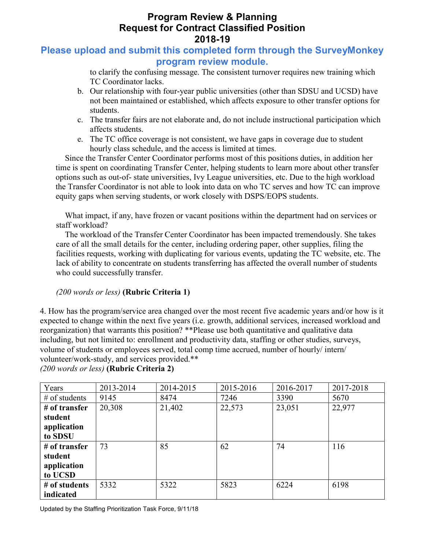## Please upload and submit this completed form through the SurveyMonkey program review module.

to clarify the confusing message. The consistent turnover requires new training which TC Coordinator lacks.

- b. Our relationship with four-year public universities (other than SDSU and UCSD) have not been maintained or established, which affects exposure to other transfer options for students.
- c. The transfer fairs are not elaborate and, do not include instructional participation which affects students.
- e. The TC office coverage is not consistent, we have gaps in coverage due to student hourly class schedule, and the access is limited at times.

Since the Transfer Center Coordinator performs most of this positions duties, in addition her time is spent on coordinating Transfer Center, helping students to learn more about other transfer options such as out-of- state universities, Ivy League universities, etc. Due to the high workload the Transfer Coordinator is not able to look into data on who TC serves and how TC can improve equity gaps when serving students, or work closely with DSPS/EOPS students.

What impact, if any, have frozen or vacant positions within the department had on services or staff workload?

The workload of the Transfer Center Coordinator has been impacted tremendously. She takes care of all the small details for the center, including ordering paper, other supplies, filing the facilities requests, working with duplicating for various events, updating the TC website, etc. The lack of ability to concentrate on students transferring has affected the overall number of students who could successfully transfer.

#### (200 words or less) (Rubric Criteria 1)

4. How has the program/service area changed over the most recent five academic years and/or how is it expected to change within the next five years (i.e. growth, additional services, increased workload and reorganization) that warrants this position? \*\*Please use both quantitative and qualitative data including, but not limited to: enrollment and productivity data, staffing or other studies, surveys, volume of students or employees served, total comp time accrued, number of hourly/ intern/ volunteer/work-study, and services provided.\*\* (200 words or less) (Rubric Criteria 2)

Years 2013-2014 2014-2015 2015-2016 2016-2017 2017-2018 # of students 9145 8474 7246 3390 5670 # of transfer student application to SDSU 20,308 21,402 22,573 23,051 22,977 # of transfer student application to UCSD 73 85 62 74 116 # of students indicated 5332 5322 5823 6224 6198

Updated by the Staffing Prioritization Task Force, 9/11/18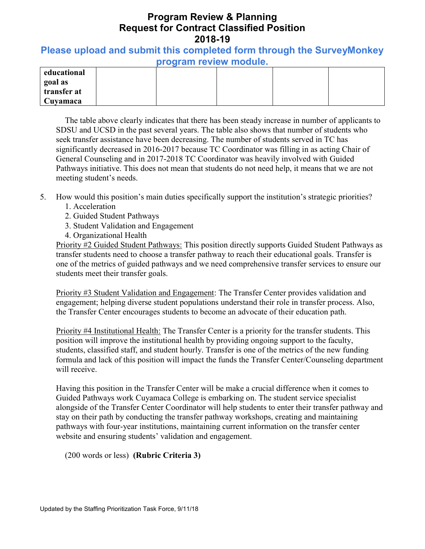### Please upload and submit this completed form through the SurveyMonkey program review module.

| educational |  |  |  |
|-------------|--|--|--|
| goal as     |  |  |  |
| transfer at |  |  |  |
| Cuyamaca    |  |  |  |

The table above clearly indicates that there has been steady increase in number of applicants to SDSU and UCSD in the past several years. The table also shows that number of students who seek transfer assistance have been decreasing. The number of students served in TC has significantly decreased in 2016-2017 because TC Coordinator was filling in as acting Chair of General Counseling and in 2017-2018 TC Coordinator was heavily involved with Guided Pathways initiative. This does not mean that students do not need help, it means that we are not meeting student's needs.

- 5. How would this position's main duties specifically support the institution's strategic priorities?
	- 1. Acceleration
	- 2. Guided Student Pathways
	- 3. Student Validation and Engagement
	- 4. Organizational Health

Priority #2 Guided Student Pathways: This position directly supports Guided Student Pathways as transfer students need to choose a transfer pathway to reach their educational goals. Transfer is one of the metrics of guided pathways and we need comprehensive transfer services to ensure our students meet their transfer goals.

Priority #3 Student Validation and Engagement: The Transfer Center provides validation and engagement; helping diverse student populations understand their role in transfer process. Also, the Transfer Center encourages students to become an advocate of their education path.

Priority #4 Institutional Health: The Transfer Center is a priority for the transfer students. This position will improve the institutional health by providing ongoing support to the faculty, students, classified staff, and student hourly. Transfer is one of the metrics of the new funding formula and lack of this position will impact the funds the Transfer Center/Counseling department will receive.

Having this position in the Transfer Center will be make a crucial difference when it comes to Guided Pathways work Cuyamaca College is embarking on. The student service specialist alongside of the Transfer Center Coordinator will help students to enter their transfer pathway and stay on their path by conducting the transfer pathway workshops, creating and maintaining pathways with four-year institutions, maintaining current information on the transfer center website and ensuring students' validation and engagement.

(200 words or less) (Rubric Criteria 3)